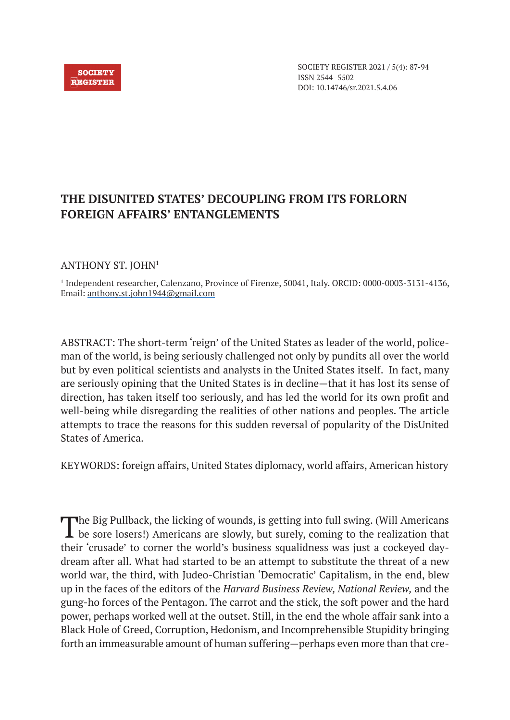

SOCIETY REGISTER 2021 / 5(4): 87-94 ISSN 2544–5502 DOI: 10.14746/sr.2021.5.4.06

## **THE DISUNITED STATES' DECOUPLING FROM ITS FORLORN FOREIGN AFFAIRS' ENTANGLEMENTS**

## ANTHONY ST. JOHN1

1 Independent researcher, Calenzano, Province of Firenze, 50041, Italy. ORCID: 0000-0003-3131-4136, Email: anthony.st.john1944@gmail.com

ABSTRACT: The short-term 'reign' of the United States as leader of the world, policeman of the world, is being seriously challenged not only by pundits all over the world but by even political scientists and analysts in the United States itself. In fact, many are seriously opining that the United States is in decline—that it has lost its sense of direction, has taken itself too seriously, and has led the world for its own profit and well-being while disregarding the realities of other nations and peoples. The article attempts to trace the reasons for this sudden reversal of popularity of the DisUnited States of America.

KEYWORDS: foreign affairs, United States diplomacy, world affairs, American history

The Big Pullback, the licking of wounds, is getting into full swing. (Will Americans be sore losers!) Americans are slowly, but surely, coming to the realization that their 'crusade' to corner the world's business squalidness was just a cockeyed daydream after all. What had started to be an attempt to substitute the threat of a new world war, the third, with Judeo-Christian 'Democratic' Capitalism, in the end, blew up in the faces of the editors of the *Harvard Business Review, National Review,* and the gung-ho forces of the Pentagon. The carrot and the stick, the soft power and the hard power, perhaps worked well at the outset. Still, in the end the whole affair sank into a Black Hole of Greed, Corruption, Hedonism, and Incomprehensible Stupidity bringing forth an immeasurable amount of human suffering—perhaps even more than that cre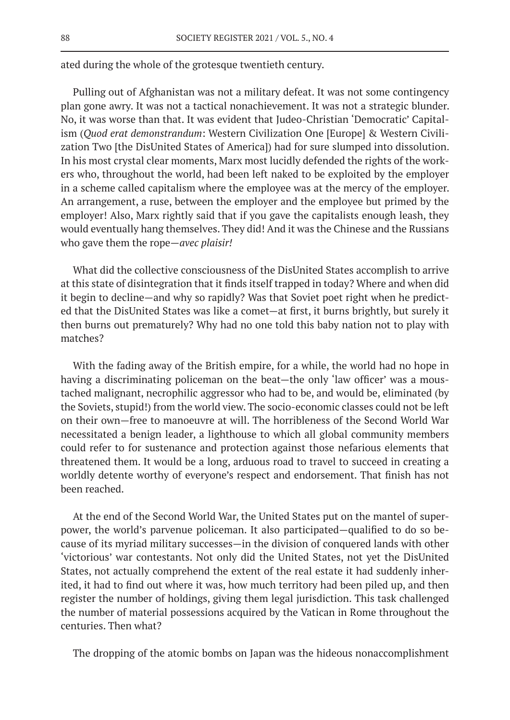ated during the whole of the grotesque twentieth century.

Pulling out of Afghanistan was not a military defeat. It was not some contingency plan gone awry. It was not a tactical nonachievement. It was not a strategic blunder. No, it was worse than that. It was evident that Judeo-Christian 'Democratic' Capitalism (*Quod erat demonstrandum*: Western Civilization One [Europe] & Western Civilization Two [the DisUnited States of America]) had for sure slumped into dissolution. In his most crystal clear moments, Marx most lucidly defended the rights of the workers who, throughout the world, had been left naked to be exploited by the employer in a scheme called capitalism where the employee was at the mercy of the employer. An arrangement, a ruse, between the employer and the employee but primed by the employer! Also, Marx rightly said that if you gave the capitalists enough leash, they would eventually hang themselves. They did! And it was the Chinese and the Russians who gave them the rope—*avec plaisir!*

What did the collective consciousness of the DisUnited States accomplish to arrive at this state of disintegration that it finds itself trapped in today? Where and when did it begin to decline—and why so rapidly? Was that Soviet poet right when he predicted that the DisUnited States was like a comet—at first, it burns brightly, but surely it then burns out prematurely? Why had no one told this baby nation not to play with matches?

With the fading away of the British empire, for a while, the world had no hope in having a discriminating policeman on the beat—the only 'law officer' was a moustached malignant, necrophilic aggressor who had to be, and would be, eliminated (by the Soviets, stupid!) from the world view. The socio-economic classes could not be left on their own—free to manoeuvre at will. The horribleness of the Second World War necessitated a benign leader, a lighthouse to which all global community members could refer to for sustenance and protection against those nefarious elements that threatened them. It would be a long, arduous road to travel to succeed in creating a worldly detente worthy of everyone's respect and endorsement. That finish has not been reached.

At the end of the Second World War, the United States put on the mantel of superpower, the world's parvenue policeman. It also participated—qualified to do so because of its myriad military successes—in the division of conquered lands with other 'victorious' war contestants. Not only did the United States, not yet the DisUnited States, not actually comprehend the extent of the real estate it had suddenly inherited, it had to find out where it was, how much territory had been piled up, and then register the number of holdings, giving them legal jurisdiction. This task challenged the number of material possessions acquired by the Vatican in Rome throughout the centuries. Then what?

The dropping of the atomic bombs on Japan was the hideous nonaccomplishment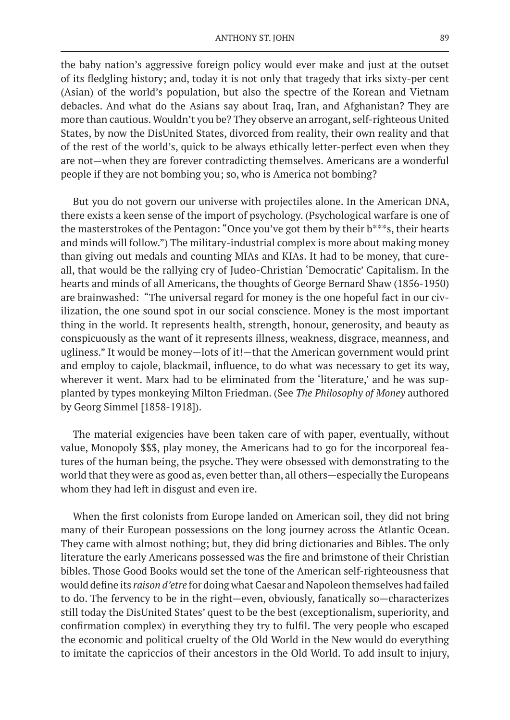the baby nation's aggressive foreign policy would ever make and just at the outset of its fledgling history; and, today it is not only that tragedy that irks sixty-per cent (Asian) of the world's population, but also the spectre of the Korean and Vietnam debacles. And what do the Asians say about Iraq, Iran, and Afghanistan? They are more than cautious. Wouldn't you be? They observe an arrogant, self-righteous United States, by now the DisUnited States, divorced from reality, their own reality and that of the rest of the world's, quick to be always ethically letter-perfect even when they are not—when they are forever contradicting themselves. Americans are a wonderful people if they are not bombing you; so, who is America not bombing?

But you do not govern our universe with projectiles alone. In the American DNA, there exists a keen sense of the import of psychology. (Psychological warfare is one of the masterstrokes of the Pentagon: "Once you've got them by their b\*\*\*s, their hearts and minds will follow.") The military-industrial complex is more about making money than giving out medals and counting MIAs and KIAs. It had to be money, that cureall, that would be the rallying cry of Judeo-Christian 'Democratic' Capitalism. In the hearts and minds of all Americans, the thoughts of George Bernard Shaw (1856-1950) are brainwashed: "The universal regard for money is the one hopeful fact in our civilization, the one sound spot in our social conscience. Money is the most important thing in the world. It represents health, strength, honour, generosity, and beauty as conspicuously as the want of it represents illness, weakness, disgrace, meanness, and ugliness." It would be money—lots of it!—that the American government would print and employ to cajole, blackmail, influence, to do what was necessary to get its way, wherever it went. Marx had to be eliminated from the 'literature,' and he was supplanted by types monkeying Milton Friedman. (See *The Philosophy of Money* authored by Georg Simmel [1858-1918]).

The material exigencies have been taken care of with paper, eventually, without value, Monopoly \$\$\$, play money, the Americans had to go for the incorporeal features of the human being, the psyche. They were obsessed with demonstrating to the world that they were as good as, even better than, all others—especially the Europeans whom they had left in disgust and even ire.

When the first colonists from Europe landed on American soil, they did not bring many of their European possessions on the long journey across the Atlantic Ocean. They came with almost nothing; but, they did bring dictionaries and Bibles. The only literature the early Americans possessed was the fire and brimstone of their Christian bibles. Those Good Books would set the tone of the American self-righteousness that would define its *raison d'etre* for doing what Caesar and Napoleon themselves had failed to do. The fervency to be in the right—even, obviously, fanatically so—characterizes still today the DisUnited States' quest to be the best (exceptionalism, superiority, and confirmation complex) in everything they try to fulfil. The very people who escaped the economic and political cruelty of the Old World in the New would do everything to imitate the capriccios of their ancestors in the Old World. To add insult to injury,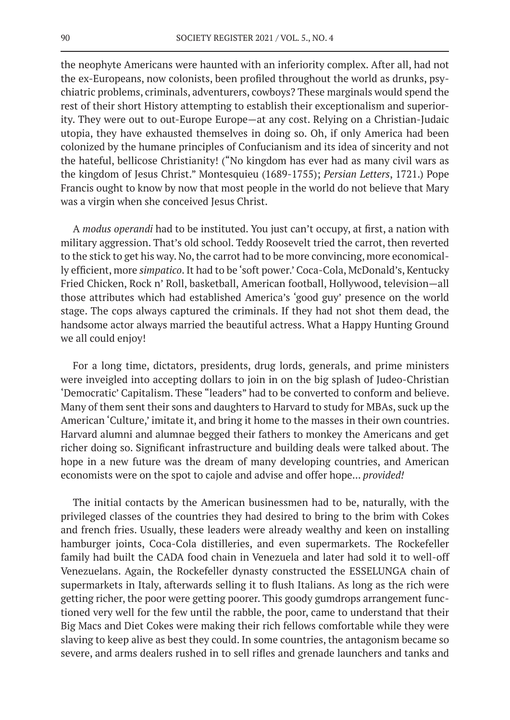the neophyte Americans were haunted with an inferiority complex. After all, had not the ex-Europeans, now colonists, been profiled throughout the world as drunks, psychiatric problems, criminals, adventurers, cowboys? These marginals would spend the rest of their short History attempting to establish their exceptionalism and superiority. They were out to out-Europe Europe—at any cost. Relying on a Christian-Judaic utopia, they have exhausted themselves in doing so. Oh, if only America had been colonized by the humane principles of Confucianism and its idea of sincerity and not the hateful, bellicose Christianity! ("No kingdom has ever had as many civil wars as the kingdom of Jesus Christ." Montesquieu (1689-1755); *Persian Letters*, 1721.) Pope Francis ought to know by now that most people in the world do not believe that Mary was a virgin when she conceived Jesus Christ.

A *modus operandi* had to be instituted. You just can't occupy, at first, a nation with military aggression. That's old school. Teddy Roosevelt tried the carrot, then reverted to the stick to get his way. No, the carrot had to be more convincing, more economically efficient, more *simpatico*. It had to be 'soft power.' Coca-Cola, McDonald's, Kentucky Fried Chicken, Rock n' Roll, basketball, American football, Hollywood, television—all those attributes which had established America's 'good guy' presence on the world stage. The cops always captured the criminals. If they had not shot them dead, the handsome actor always married the beautiful actress. What a Happy Hunting Ground we all could enjoy!

For a long time, dictators, presidents, drug lords, generals, and prime ministers were inveigled into accepting dollars to join in on the big splash of Judeo-Christian 'Democratic' Capitalism. These "leaders" had to be converted to conform and believe. Many of them sent their sons and daughters to Harvard to study for MBAs, suck up the American 'Culture,' imitate it, and bring it home to the masses in their own countries. Harvard alumni and alumnae begged their fathers to monkey the Americans and get richer doing so. Significant infrastructure and building deals were talked about. The hope in a new future was the dream of many developing countries, and American economists were on the spot to cajole and advise and offer hope... *provided!*

The initial contacts by the American businessmen had to be, naturally, with the privileged classes of the countries they had desired to bring to the brim with Cokes and french fries. Usually, these leaders were already wealthy and keen on installing hamburger joints, Coca-Cola distilleries, and even supermarkets. The Rockefeller family had built the CADA food chain in Venezuela and later had sold it to well-off Venezuelans. Again, the Rockefeller dynasty constructed the ESSELUNGA chain of supermarkets in Italy, afterwards selling it to flush Italians. As long as the rich were getting richer, the poor were getting poorer. This goody gumdrops arrangement functioned very well for the few until the rabble, the poor, came to understand that their Big Macs and Diet Cokes were making their rich fellows comfortable while they were slaving to keep alive as best they could. In some countries, the antagonism became so severe, and arms dealers rushed in to sell rifles and grenade launchers and tanks and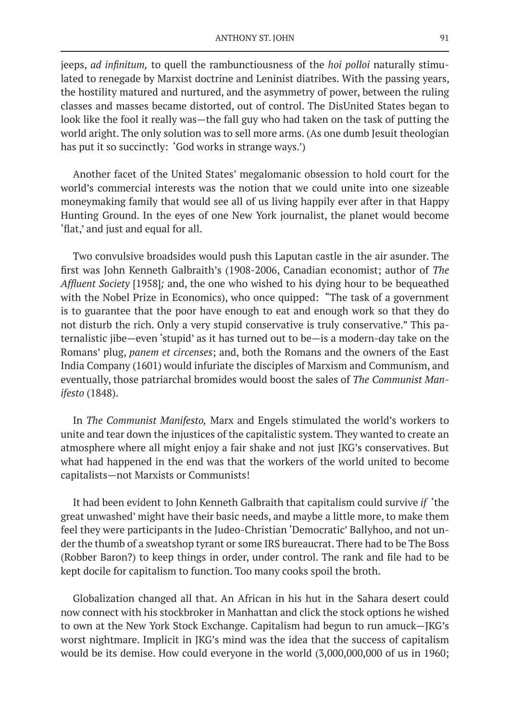jeeps, *ad infinitum,* to quell the rambunctiousness of the *hoi polloi* naturally stimulated to renegade by Marxist doctrine and Leninist diatribes. With the passing years, the hostility matured and nurtured, and the asymmetry of power, between the ruling classes and masses became distorted, out of control. The DisUnited States began to look like the fool it really was—the fall guy who had taken on the task of putting the world aright. The only solution was to sell more arms. (As one dumb Jesuit theologian has put it so succinctly: 'God works in strange ways.')

Another facet of the United States' megalomanic obsession to hold court for the world's commercial interests was the notion that we could unite into one sizeable moneymaking family that would see all of us living happily ever after in that Happy Hunting Ground. In the eyes of one New York journalist, the planet would become 'flat,' and just and equal for all.

Two convulsive broadsides would push this Laputan castle in the air asunder. The first was John Kenneth Galbraith's (1908-2006, Canadian economist; author of *The Affluent Society* [1958]*;* and, the one who wished to his dying hour to be bequeathed with the Nobel Prize in Economics), who once quipped: "The task of a government is to guarantee that the poor have enough to eat and enough work so that they do not disturb the rich. Only a very stupid conservative is truly conservative." This paternalistic jibe—even 'stupid' as it has turned out to be—is a modern-day take on the Romans' plug, *panem et circenses*; and, both the Romans and the owners of the East India Company (1601) would infuriate the disciples of Marxism and Communism, and eventually, those patriarchal bromides would boost the sales of *The Communist Manifesto* (1848).

In *The Communist Manifesto,* Marx and Engels stimulated the world's workers to unite and tear down the injustices of the capitalistic system. They wanted to create an atmosphere where all might enjoy a fair shake and not just JKG's conservatives. But what had happened in the end was that the workers of the world united to become capitalists—not Marxists or Communists!

It had been evident to John Kenneth Galbraith that capitalism could survive *if* 'the great unwashed' might have their basic needs, and maybe a little more, to make them feel they were participants in the Judeo-Christian 'Democratic' Ballyhoo, and not under the thumb of a sweatshop tyrant or some IRS bureaucrat. There had to be The Boss (Robber Baron?) to keep things in order, under control. The rank and file had to be kept docile for capitalism to function. Too many cooks spoil the broth.

Globalization changed all that. An African in his hut in the Sahara desert could now connect with his stockbroker in Manhattan and click the stock options he wished to own at the New York Stock Exchange. Capitalism had begun to run amuck—JKG's worst nightmare. Implicit in JKG's mind was the idea that the success of capitalism would be its demise. How could everyone in the world (3,000,000,000 of us in 1960;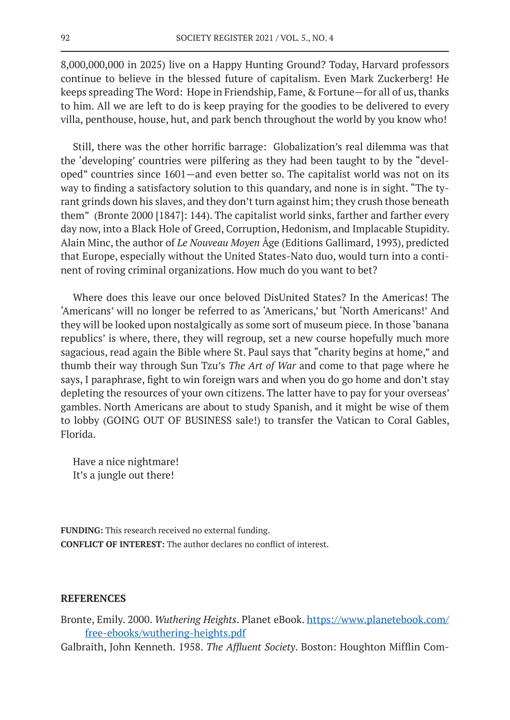8,000,000,000 in 2025) live on a Happy Hunting Ground? Today, Harvard professors continue to believe in the blessed future of capitalism. Even Mark Zuckerberg! He keeps spreading The Word: Hope in Friendship, Fame, & Fortune—for all of us, thanks to him. All we are left to do is keep praying for the goodies to be delivered to every villa, penthouse, house, hut, and park bench throughout the world by you know who!

Still, there was the other horrific barrage: Globalization's real dilemma was that the 'developing' countries were pilfering as they had been taught to by the "developed" countries since 1601—and even better so. The capitalist world was not on its way to finding a satisfactory solution to this quandary, and none is in sight. "The tyrant grinds down his slaves, and they don't turn against him; they crush those beneath them" (Bronte 2000 [1847]: 144). The capitalist world sinks, farther and farther every day now, into a Black Hole of Greed, Corruption, Hedonism, and Implacable Stupidity. Alain Minc, the author of *Le Nouveau Moyen* Âge (Editions Gallimard, 1993), predicted that Europe, especially without the United States-Nato duo, would turn into a continent of roving criminal organizations. How much do you want to bet?

Where does this leave our once beloved DisUnited States? In the Americas! The 'Americans' will no longer be referred to as 'Americans,' but 'North Americans!' And they will be looked upon nostalgically as some sort of museum piece. In those 'banana republics' is where, there, they will regroup, set a new course hopefully much more sagacious, read again the Bible where St. Paul says that "charity begins at home," and thumb their way through Sun Tzu's *The Art of War* and come to that page where he says, I paraphrase, fight to win foreign wars and when you do go home and don't stay depleting the resources of your own citizens. The latter have to pay for your overseas' gambles. North Americans are about to study Spanish, and it might be wise of them to lobby (GOING OUT OF BUSINESS sale!) to transfer the Vatican to Coral Gables, Florida.

Have a nice nightmare! It's a jungle out there!

**FUNDING:** This research received no external funding. **CONFLICT OF INTEREST:** The author declares no conflict of interest.

## **REFERENCES**

- Bronte, Emily. 2000. *Wuthering Heights*. Planet eBook. https://www.planetebook.com/ free-ebooks/wuthering-heights.pdf
- Galbraith, John Kenneth. 1958. *The Affluent Society*. Boston: Houghton Mifflin Com-